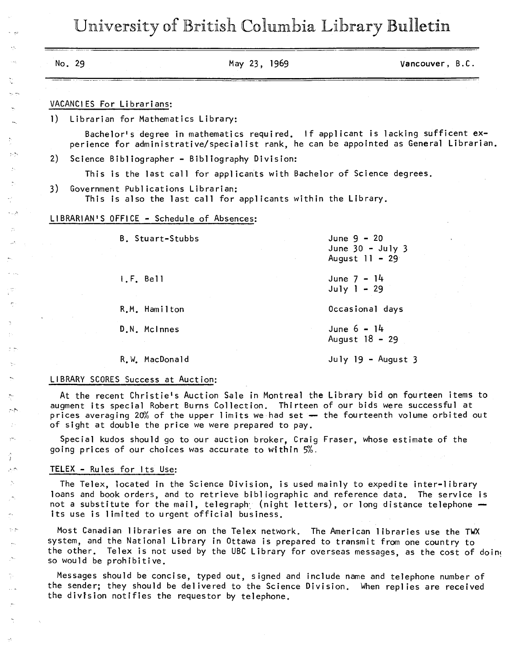University of British Columbia Library Bulletin

|    | No. 29                                                                                                                                                                                                                                                                                                                             | May 23, 1969 | Vancouver, B.C.                                                                  |
|----|------------------------------------------------------------------------------------------------------------------------------------------------------------------------------------------------------------------------------------------------------------------------------------------------------------------------------------|--------------|----------------------------------------------------------------------------------|
|    | VACANCIES For Librarians:                                                                                                                                                                                                                                                                                                          |              |                                                                                  |
| 1) | Librarian for Mathematics Library:                                                                                                                                                                                                                                                                                                 |              |                                                                                  |
|    | perience for administrative/specialist rank, he can be appointed as General Librarian.                                                                                                                                                                                                                                             |              | Bachelor's degree in mathematics required. If applicant is lacking sufficent ex- |
| 2) | Science Bibliographer - Bibliography Division:                                                                                                                                                                                                                                                                                     |              |                                                                                  |
|    | This is the last call for applicants with Bachelor of Science degrees.                                                                                                                                                                                                                                                             |              |                                                                                  |
| 3) | Government Publications Librarian:<br>This is also the last call for applicants within the Library.                                                                                                                                                                                                                                |              |                                                                                  |
|    | LIBRARIAN'S OFFICE - Schedule of Absences:                                                                                                                                                                                                                                                                                         |              |                                                                                  |
|    | B. Stuart-Stubbs                                                                                                                                                                                                                                                                                                                   |              | June $9 - 20$<br>June $30 -$ July 3<br>August 11 - 29                            |
|    | $I.F.$ Bell                                                                                                                                                                                                                                                                                                                        |              | June $7 - 14$<br>$July 1 - 29$                                                   |
|    | R.M. Hamilton                                                                                                                                                                                                                                                                                                                      |              | Occasional days                                                                  |
|    | D.N. McInnes                                                                                                                                                                                                                                                                                                                       |              | June $6 - 14$<br>August 18 - 29                                                  |
|    | R.W. MacDonald                                                                                                                                                                                                                                                                                                                     |              | July $19 -$ August 3                                                             |
|    | LIBRARY SCORES Success at Auction:                                                                                                                                                                                                                                                                                                 |              |                                                                                  |
|    | At the recent Christie's Auction Sale in Montreal the Library bid on fourteen items to<br>augment its special Robert Burns Collection. Thirteen of our bids were successful at<br>prices averaging 20% of the upper limits we had set - the fourteenth volume orbited out<br>of sight at double the price we were prepared to pay. |              |                                                                                  |

Special kudos should go to our auction broker, Craig Fraser, whose estima going prices of our choices was accurate to within  $5\%$ .

## TELEX - Rules for Its Use:

The Telex, located in the Science Division, is used mainly to expedite inter-library loans and book orders, and to retrieve bibliographic and reference data. The service is not a substitute for the mail, telegraphy (night letters), or long distance telephone  $$ its use is limited to urgent official business.

Most Canadian libraries are on the Telex network. The American libraries use the TWX system, and the National Library in Ottawa is prepared to transmit from one country to the other. Telex is not used by the UBC Library for overseas messages, as the cost of doin< so would be prohibitive.

Messages should be concise, typed out, signed and include name and telephone number of the sender; they should be delivered to the Science Division. When replies are received the division notifies the requestor by telephone.